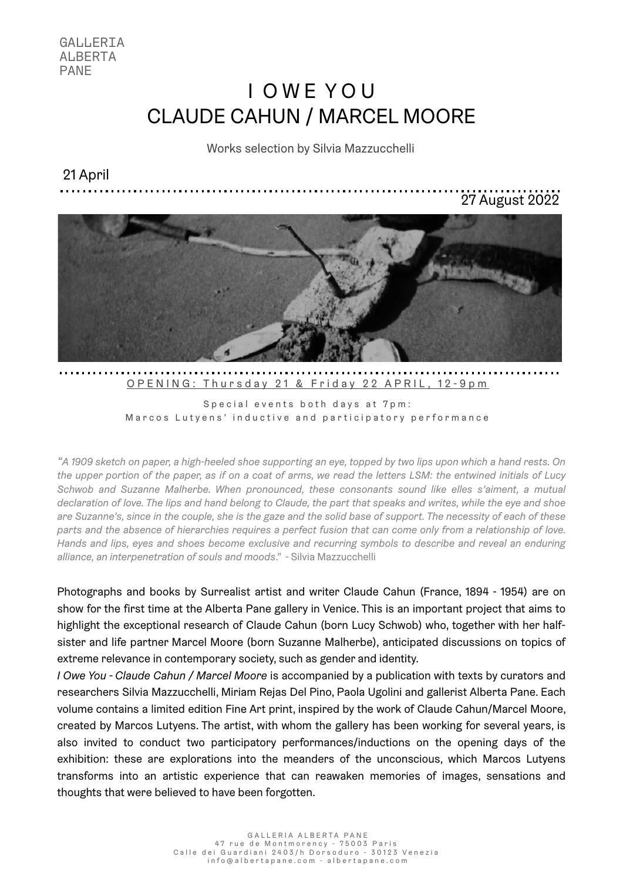GALLERIA ALBERTA PANE

# I O W E Y O U CLAUDE CAHUN / MARCEL MOORE

### Works selection by Silvia Mazzucchelli

21 April

27 August 2022



Special events both days at 7pm: Marcos Lutyens' inductive and participatory performance

OPENING: Thursday 21 & Friday 22 APRIL, 12-9pm

*"A 1909 sketch on paper, a high-heeled shoe supporting an eye, topped by two lips upon which a hand rests. On the upper portion of the paper, as if on a coat of arms, we read the letters LSM: the entwined initials of Lucy Schwob and Suzanne Malherbe. When pronounced, these consonants sound like elles s'aiment, a mutual declaration of love. The lips and hand belong to Claude, the part that speaks and writes, while the eye and shoe are Suzanne's, since in the couple, she is the gaze and the solid base of support. The necessity of each of these parts and the absence of hierarchies requires a perfect fusion that can come only from a relationship of love. Hands and lips, eyes and shoes become exclusive and recurring symbols to describe and reveal an enduring alliance, an interpenetration of souls and moods*." - Silvia Mazzucchelli

Photographs and books by Surrealist artist and writer Claude Cahun (France, 1894 - 1954) are on show for the first time at the Alberta Pane gallery in Venice. This is an important project that aims to highlight the exceptional research of Claude Cahun (born Lucy Schwob) who, together with her halfsister and life partner Marcel Moore (born Suzanne Malherbe), anticipated discussions on topics of extreme relevance in contemporary society, such as gender and identity.

*I Owe You - Claude Cahun / Marcel Moore* is accompanied by a publication with texts by curators and researchers Silvia Mazzucchelli, Miriam Rejas Del Pino, Paola Ugolini and gallerist Alberta Pane. Each volume contains a limited edition Fine Art print, inspired by the work of Claude Cahun/Marcel Moore, created by Marcos Lutyens. The artist, with whom the gallery has been working for several years, is also invited to conduct two participatory performances/inductions on the opening days of the exhibition: these are explorations into the meanders of the unconscious, which Marcos Lutyens transforms into an artistic experience that can reawaken memories of images, sensations and thoughts that were believed to have been forgotten.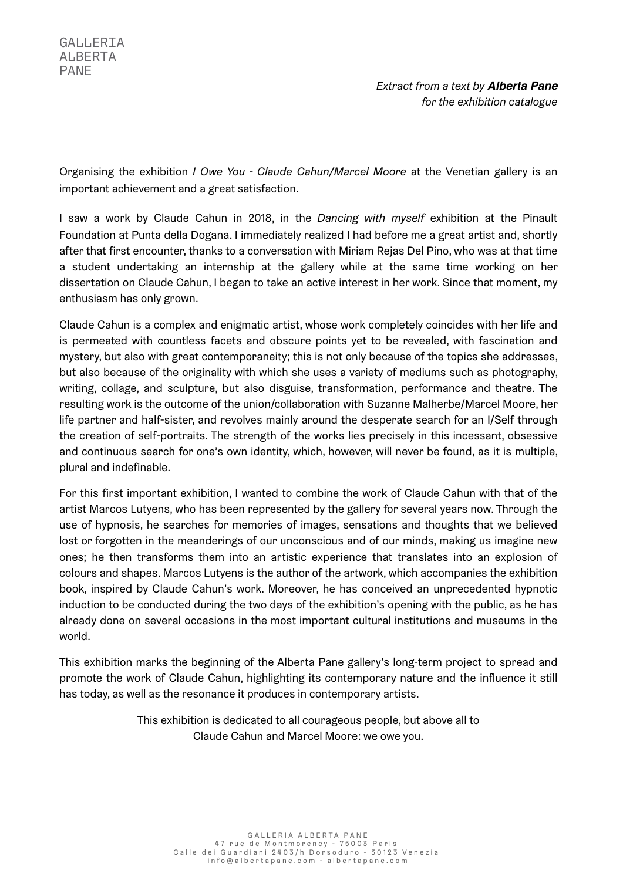Organising the exhibition *I Owe You - Claude Cahun/Marcel Moore* at the Venetian gallery is an important achievement and a great satisfaction.

I saw a work by Claude Cahun in 2018, in the *Dancing with myself* exhibition at the Pinault Foundation at Punta della Dogana. I immediately realized I had before me a great artist and, shortly after that first encounter, thanks to a conversation with Miriam Rejas Del Pino, who was at that time a student undertaking an internship at the gallery while at the same time working on her dissertation on Claude Cahun, I began to take an active interest in her work. Since that moment, my enthusiasm has only grown.

Claude Cahun is a complex and enigmatic artist, whose work completely coincides with her life and is permeated with countless facets and obscure points yet to be revealed, with fascination and mystery, but also with great contemporaneity; this is not only because of the topics she addresses, but also because of the originality with which she uses a variety of mediums such as photography, writing, collage, and sculpture, but also disguise, transformation, performance and theatre. The resulting work is the outcome of the union/collaboration with Suzanne Malherbe/Marcel Moore, her life partner and half-sister, and revolves mainly around the desperate search for an I/Self through the creation of self-portraits. The strength of the works lies precisely in this incessant, obsessive and continuous search for one's own identity, which, however, will never be found, as it is multiple, plural and indefinable.

For this first important exhibition, I wanted to combine the work of Claude Cahun with that of the artist Marcos Lutyens, who has been represented by the gallery for several years now. Through the use of hypnosis, he searches for memories of images, sensations and thoughts that we believed lost or forgotten in the meanderings of our unconscious and of our minds, making us imagine new ones; he then transforms them into an artistic experience that translates into an explosion of colours and shapes. Marcos Lutyens is the author of the artwork, which accompanies the exhibition book, inspired by Claude Cahun's work. Moreover, he has conceived an unprecedented hypnotic induction to be conducted during the two days of the exhibition's opening with the public, as he has already done on several occasions in the most important cultural institutions and museums in the world.

This exhibition marks the beginning of the Alberta Pane gallery's long-term project to spread and promote the work of Claude Cahun, highlighting its contemporary nature and the influence it still has today, as well as the resonance it produces in contemporary artists.

> This exhibition is dedicated to all courageous people, but above all to Claude Cahun and Marcel Moore: we owe you.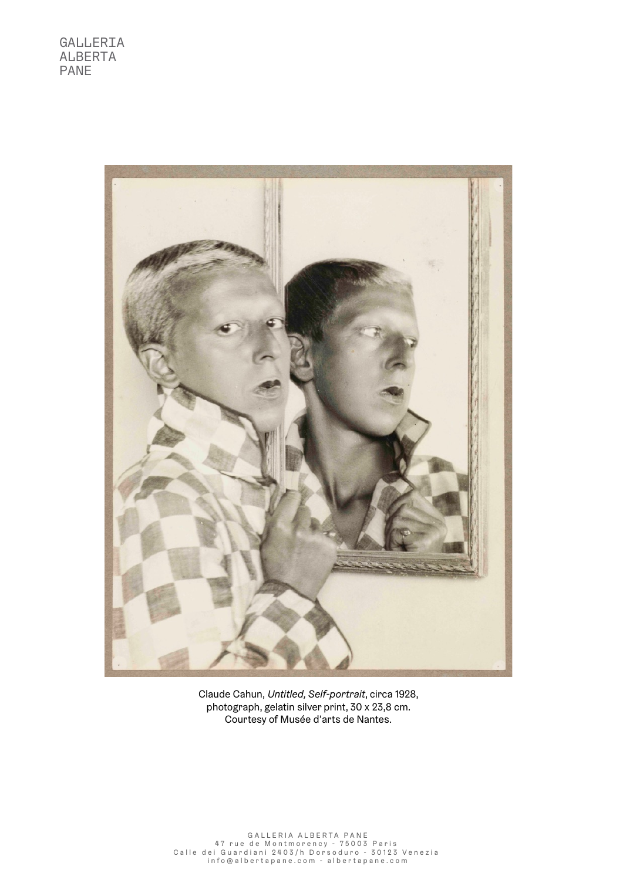

Claude Cahun, *Untitled, Self-portrait*, circa 1928, photograph, gelatin silver print, 30 x 23,8 cm. Courtesy of Musée d'arts de Nantes.